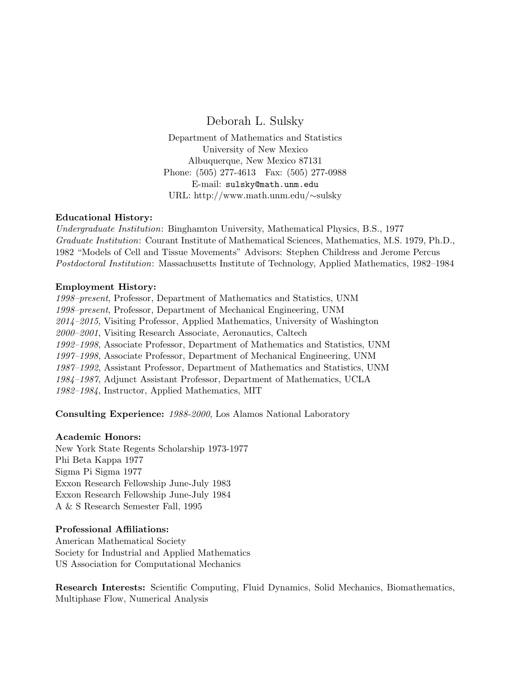# Deborah L. Sulsky

Department of Mathematics and Statistics University of New Mexico Albuquerque, New Mexico 87131 Phone: (505) 277-4613 Fax: (505) 277-0988 E-mail: sulsky@math.unm.edu URL: http://www.math.unm.edu/∼sulsky

# Educational History:

Undergraduate Institution: Binghamton University, Mathematical Physics, B.S., 1977 Graduate Institution: Courant Institute of Mathematical Sciences, Mathematics, M.S. 1979, Ph.D., 1982 "Models of Cell and Tissue Movements" Advisors: Stephen Childress and Jerome Percus Postdoctoral Institution: Massachusetts Institute of Technology, Applied Mathematics, 1982–1984

# Employment History:

1998–present, Professor, Department of Mathematics and Statistics, UNM 1998–present, Professor, Department of Mechanical Engineering, UNM 2014–2015, Visiting Professor, Applied Mathematics, University of Washington 2000–2001, Visiting Research Associate, Aeronautics, Caltech 1992–1998, Associate Professor, Department of Mathematics and Statistics, UNM 1997–1998, Associate Professor, Department of Mechanical Engineering, UNM 1987–1992, Assistant Professor, Department of Mathematics and Statistics, UNM 1984–1987, Adjunct Assistant Professor, Department of Mathematics, UCLA 1982–1984, Instructor, Applied Mathematics, MIT

Consulting Experience: 1988-2000, Los Alamos National Laboratory

## Academic Honors:

New York State Regents Scholarship 1973-1977 Phi Beta Kappa 1977 Sigma Pi Sigma 1977 Exxon Research Fellowship June-July 1983 Exxon Research Fellowship June-July 1984 A & S Research Semester Fall, 1995

## Professional Affiliations:

American Mathematical Society Society for Industrial and Applied Mathematics US Association for Computational Mechanics

Research Interests: Scientific Computing, Fluid Dynamics, Solid Mechanics, Biomathematics, Multiphase Flow, Numerical Analysis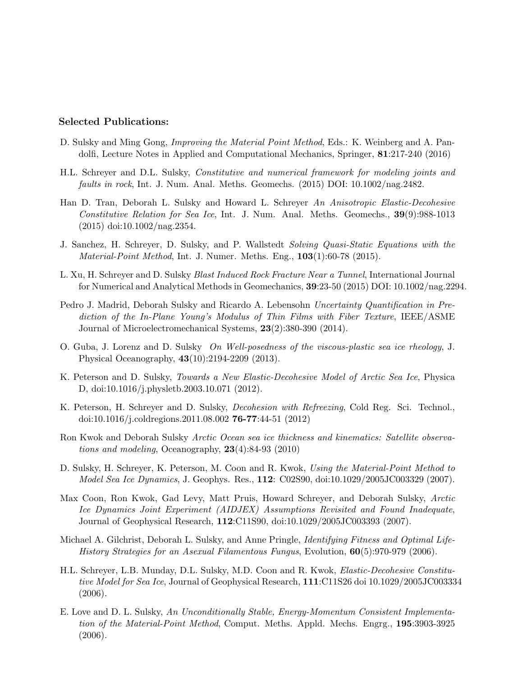# Selected Publications:

- D. Sulsky and Ming Gong, Improving the Material Point Method, Eds.: K. Weinberg and A. Pandolfi, Lecture Notes in Applied and Computational Mechanics, Springer, 81:217-240 (2016)
- H.L. Schreyer and D.L. Sulsky, Constitutive and numerical framework for modeling joints and faults in rock, Int. J. Num. Anal. Meths. Geomechs. (2015) DOI: 10.1002/nag.2482.
- Han D. Tran, Deborah L. Sulsky and Howard L. Schreyer An Anisotropic Elastic-Decohesive Constitutive Relation for Sea Ice, Int. J. Num. Anal. Meths. Geomechs., 39(9):988-1013 (2015) doi:10.1002/nag.2354.
- J. Sanchez, H. Schreyer, D. Sulsky, and P. Wallstedt Solving Quasi-Static Equations with the *Material-Point Method*, Int. J. Numer. Meths. Eng.,  $103(1):60-78$  (2015).
- L. Xu, H. Schreyer and D. Sulsky Blast Induced Rock Fracture Near a Tunnel, International Journal for Numerical and Analytical Methods in Geomechanics, 39:23-50 (2015) DOI: 10.1002/nag.2294.
- Pedro J. Madrid, Deborah Sulsky and Ricardo A. Lebensohn Uncertainty Quantification in Prediction of the In-Plane Young's Modulus of Thin Films with Fiber Texture, IEEE/ASME Journal of Microelectromechanical Systems, 23(2):380-390 (2014).
- O. Guba, J. Lorenz and D. Sulsky On Well-posedness of the viscous-plastic sea ice rheology, J. Physical Oceanography, 43(10):2194-2209 (2013).
- K. Peterson and D. Sulsky, Towards a New Elastic-Decohesive Model of Arctic Sea Ice, Physica D, doi:10.1016/j.physletb.2003.10.071 (2012).
- K. Peterson, H. Schreyer and D. Sulsky, *Decohesion with Refreezing*, Cold Reg. Sci. Technol., doi:10.1016/j.coldregions.2011.08.002 76-77:44-51 (2012)
- Ron Kwok and Deborah Sulsky Arctic Ocean sea ice thickness and kinematics: Satellite observations and modeling, Oceanography,  $23(4):84-93(2010)$
- D. Sulsky, H. Schreyer, K. Peterson, M. Coon and R. Kwok, Using the Material-Point Method to Model Sea Ice Dynamics, J. Geophys. Res., 112: C02S90, doi:10.1029/2005JC003329 (2007).
- Max Coon, Ron Kwok, Gad Levy, Matt Pruis, Howard Schreyer, and Deborah Sulsky, Arctic Ice Dynamics Joint Experiment (AIDJEX) Assumptions Revisited and Found Inadequate, Journal of Geophysical Research, 112:C11S90, doi:10.1029/2005JC003393 (2007).
- Michael A. Gilchrist, Deborah L. Sulsky, and Anne Pringle, *Identifying Fitness and Optimal Life-*History Strategies for an Asexual Filamentous Fungus, Evolution, 60(5):970-979 (2006).
- H.L. Schreyer, L.B. Munday, D.L. Sulsky, M.D. Coon and R. Kwok, Elastic-Decohesive Constitutive Model for Sea Ice, Journal of Geophysical Research, 111:C11S26 doi 10.1029/2005JC003334 (2006).
- E. Love and D. L. Sulsky, An Unconditionally Stable, Energy-Momentum Consistent Implementation of the Material-Point Method, Comput. Meths. Appld. Mechs. Engrg., 195:3903-3925  $(2006).$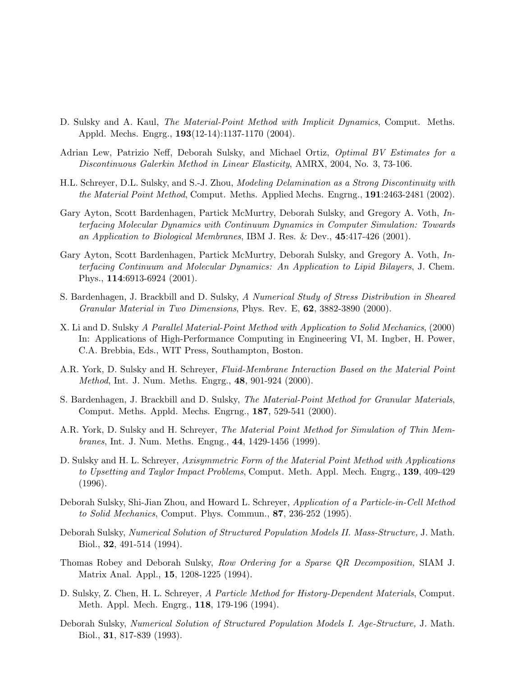- D. Sulsky and A. Kaul, *The Material-Point Method with Implicit Dynamics*, Comput. Meths. Appld. Mechs. Engrg., 193(12-14):1137-1170 (2004).
- Adrian Lew, Patrizio Neff, Deborah Sulsky, and Michael Ortiz, *Optimal BV Estimates for a* Discontinuous Galerkin Method in Linear Elasticity, AMRX, 2004, No. 3, 73-106.
- H.L. Schreyer, D.L. Sulsky, and S.-J. Zhou, Modeling Delamination as a Strong Discontinuity with the Material Point Method, Comput. Meths. Applied Mechs. Engrng., 191:2463-2481 (2002).
- Gary Ayton, Scott Bardenhagen, Partick McMurtry, Deborah Sulsky, and Gregory A. Voth, Interfacing Molecular Dynamics with Continuum Dynamics in Computer Simulation: Towards an Application to Biological Membranes, IBM J. Res. & Dev., 45:417-426 (2001).
- Gary Ayton, Scott Bardenhagen, Partick McMurtry, Deborah Sulsky, and Gregory A. Voth, Interfacing Continuum and Molecular Dynamics: An Application to Lipid Bilayers, J. Chem. Phys., 114:6913-6924 (2001).
- S. Bardenhagen, J. Brackbill and D. Sulsky, A Numerical Study of Stress Distribution in Sheared Granular Material in Two Dimensions, Phys. Rev. E, 62, 3882-3890 (2000).
- X. Li and D. Sulsky A Parallel Material-Point Method with Application to Solid Mechanics, (2000) In: Applications of High-Performance Computing in Engineering VI, M. Ingber, H. Power, C.A. Brebbia, Eds., WIT Press, Southampton, Boston.
- A.R. York, D. Sulsky and H. Schreyer, Fluid-Membrane Interaction Based on the Material Point Method, Int. J. Num. Meths. Engrg., 48, 901-924 (2000).
- S. Bardenhagen, J. Brackbill and D. Sulsky, The Material-Point Method for Granular Materials, Comput. Meths. Appld. Mechs. Engrng., 187, 529-541 (2000).
- A.R. York, D. Sulsky and H. Schreyer, The Material Point Method for Simulation of Thin Membranes, Int. J. Num. Meths. Engng., 44, 1429-1456 (1999).
- D. Sulsky and H. L. Schreyer, Axisymmetric Form of the Material Point Method with Applications to Upsetting and Taylor Impact Problems, Comput. Meth. Appl. Mech. Engrg., 139, 409-429 (1996).
- Deborah Sulsky, Shi-Jian Zhou, and Howard L. Schreyer, Application of a Particle-in-Cell Method to Solid Mechanics, Comput. Phys. Commun., 87, 236-252 (1995).
- Deborah Sulsky, Numerical Solution of Structured Population Models II. Mass-Structure, J. Math. Biol., 32, 491-514 (1994).
- Thomas Robey and Deborah Sulsky, Row Ordering for a Sparse QR Decomposition, SIAM J. Matrix Anal. Appl., 15, 1208-1225 (1994).
- D. Sulsky, Z. Chen, H. L. Schreyer, A Particle Method for History-Dependent Materials, Comput. Meth. Appl. Mech. Engrg., 118, 179-196 (1994).
- Deborah Sulsky, Numerical Solution of Structured Population Models I. Age-Structure, J. Math. Biol., 31, 817-839 (1993).